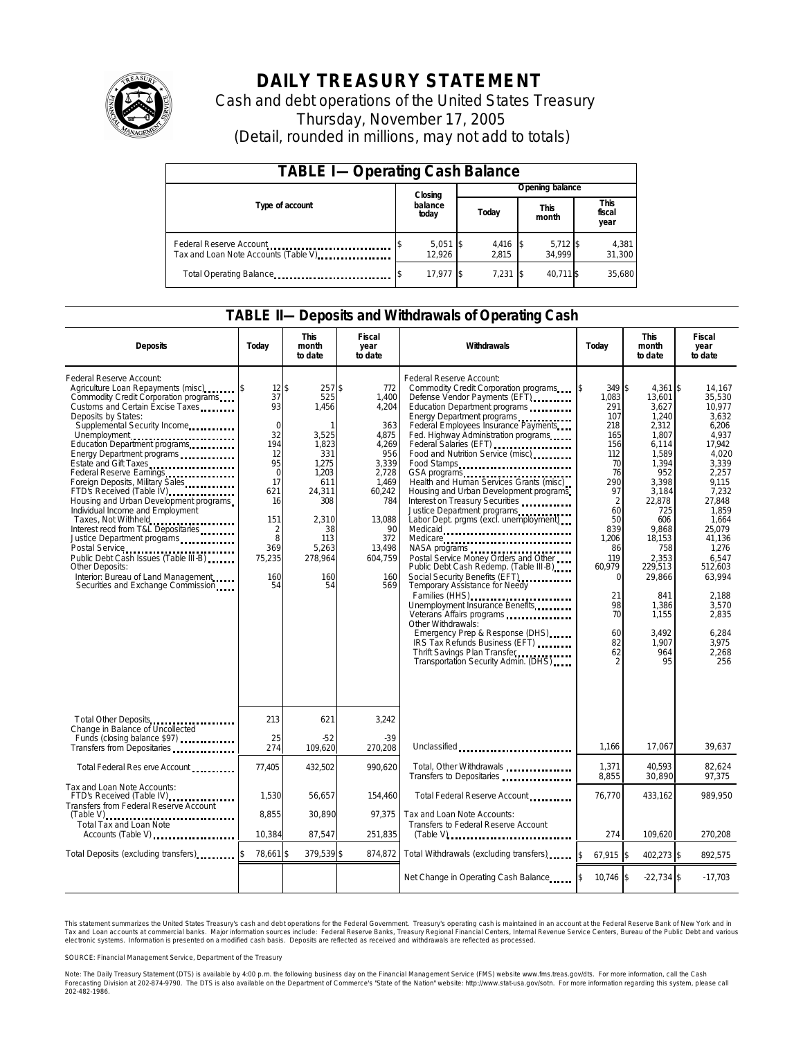

# **DAILY TREASURY STATEMENT**

Cash and debt operations of the United States Treasury Thursday, November 17, 2005 (Detail, rounded in millions, may not add to totals)

| <b>TABLE I-Operating Cash Balance</b> |         |                      |                 |                |  |                      |  |                               |  |
|---------------------------------------|---------|----------------------|-----------------|----------------|--|----------------------|--|-------------------------------|--|
|                                       | Closing |                      | Opening balance |                |  |                      |  |                               |  |
| Type of account                       |         | balance<br>today     |                 | Today          |  | <b>This</b><br>month |  | <b>This</b><br>fiscal<br>year |  |
| Tax and Loan Note Accounts (Table V)  |         | $5,051$ \$<br>12.926 |                 | 4,416<br>2.815 |  | $5,712$ \$<br>34.999 |  | 4,381<br>31,300               |  |
| Total Operating Balance               |         | 17,977 \$            |                 | 7,231          |  | 40.711 \$            |  | 35,680                        |  |

### **TABLE II—Deposits and Withdrawals of Operating Cash**

| <b>Deposits</b>                                                                                                                                                                                                                                                                                                                                                                                                                                                                                                                                                                                                                                                                                                 | Today                                                                                                                                                          | <b>This</b><br>month<br>to date                                                                                                                                 | <b>Fiscal</b><br>year<br>to date                                                                                                                            | Withdrawals                                                                                                                                                                                                                                                                                                                                                                                                                                                                                                                                                                                                                                                                                                                                                                                                                                                                                                                                                                       | <b>This</b><br>Today<br>month<br>to date                                                                                                                                                                      |                                                                                                                                                                                                                                                       | <b>Fiscal</b><br>year<br>to date                                                                                                                                                                                                                                 |
|-----------------------------------------------------------------------------------------------------------------------------------------------------------------------------------------------------------------------------------------------------------------------------------------------------------------------------------------------------------------------------------------------------------------------------------------------------------------------------------------------------------------------------------------------------------------------------------------------------------------------------------------------------------------------------------------------------------------|----------------------------------------------------------------------------------------------------------------------------------------------------------------|-----------------------------------------------------------------------------------------------------------------------------------------------------------------|-------------------------------------------------------------------------------------------------------------------------------------------------------------|-----------------------------------------------------------------------------------------------------------------------------------------------------------------------------------------------------------------------------------------------------------------------------------------------------------------------------------------------------------------------------------------------------------------------------------------------------------------------------------------------------------------------------------------------------------------------------------------------------------------------------------------------------------------------------------------------------------------------------------------------------------------------------------------------------------------------------------------------------------------------------------------------------------------------------------------------------------------------------------|---------------------------------------------------------------------------------------------------------------------------------------------------------------------------------------------------------------|-------------------------------------------------------------------------------------------------------------------------------------------------------------------------------------------------------------------------------------------------------|------------------------------------------------------------------------------------------------------------------------------------------------------------------------------------------------------------------------------------------------------------------|
| Federal Reserve Account:<br>Agriculture Loan Repayments (misc) [\$<br>Commodity Credit Corporation programs<br>Customs and Certain Excise Taxes<br>Deposits by States:<br>Supplemental Security Income<br>Education Department programs<br>Energy Department programs<br>Estate and Gift Taxes<br>Federal Reserve Earnings<br>Foreign Deposits, Military Sales<br>FTD's Received (Table IV)<br>Housing and Urban Development programs<br>Individual Income and Employment<br>Taxes, Not Withheld<br>Interest recd from T&L Depositaries<br>Justice Department programs<br>Public Debt Cash Issues (Table III-B)<br>Other Deposits:<br>Interior: Bureau of Land Management<br>Securities and Exchange Commission | 12 <sup>5</sup><br>37<br>93<br>$\mathbf 0$<br>32<br>194<br>12<br>95<br>$\Omega$<br>17<br>621<br>16<br>151<br>$\overline{2}$<br>8<br>369<br>75,235<br>160<br>54 | 257\$<br>525<br>1,456<br>$\mathbf{1}$<br>3,525<br>1,823<br>331<br>1.275<br>1.203<br>611<br>24,311<br>308<br>2.310<br>38<br>113<br>5.263<br>278,964<br>160<br>54 | 772<br>1,400<br>4,204<br>363<br>4.875<br>4,269<br>956<br>3,339<br>2.728<br>1.469<br>60,242<br>784<br>13.088<br>90<br>372<br>13,498<br>604,759<br>160<br>569 | Federal Reserve Account:<br>Commodity Credit Corporation programs<br>Defense Vendor Payments (EFT)<br>Education Department programs<br>Energy Department programs<br>Federal Employees Insurance Payments<br>Fed. Highway Administration programs<br>Federal Salaries (EFT)<br>Federal Salaries (EFT)<br>Food and Nutrition Service (misc)<br>Food Stamps<br>GSA programs<br>Health and Human Services Grants (misc)<br>Housing and Urban Development programs<br>Interest on Treasury Securities<br>Justice Department programs<br>Labor Dept. prgms (excl. unemployment)<br>Medicaid<br>Medicare<br>Postal Service Money Orders and Other<br>Public Debt Cash Redemp. (Table III-B)<br>Social Security Benefits (EFT)<br>Temporary Assistance for Needy<br>Families (HHS)<br>Unemployment Insurance Benefits<br>Other Withdrawals:<br>Emergency Prep & Response (DHS)<br>IRS Tax Refunds Business (EFT)<br>Thrift Savings Plan Transfer<br>Transportation Security Admin. (DHS) | 349 \$<br>ß.<br>1,083<br>291<br>107<br>218<br>165<br>156<br>112<br>70<br>76<br>290<br>97<br>$\overline{2}$<br>60<br>50<br>839<br>1.206<br>86<br>119<br>60,979<br>$\Omega$<br>21<br>98<br>70<br>60<br>82<br>62 | $4.361$ \\$<br>13,601<br>3,627<br>1,240<br>2,312<br>1,807<br>6,114<br>1.589<br>1,394<br>952<br>3,398<br>3,184<br>22,878<br>725<br>606<br>9.868<br>18.153<br>758<br>2,353<br>229,513<br>29,866<br>841<br>1,386<br>1.155<br>3.492<br>1.907<br>964<br>95 | 14.167<br>35,530<br>10,977<br>3.632<br>6,206<br>4.937<br>17.942<br>4.020<br>3.339<br>2.257<br>9.115<br>7,232<br>27.848<br>1.859<br>1.664<br>25.079<br>41.136<br>1.276<br>6.547<br>512,603<br>63,994<br>2.188<br>3,570<br>2.835<br>6.284<br>3.975<br>2,268<br>256 |
| Total Other Deposits<br>Change in Balance of Uncollected                                                                                                                                                                                                                                                                                                                                                                                                                                                                                                                                                                                                                                                        | 213                                                                                                                                                            | 621                                                                                                                                                             | 3,242                                                                                                                                                       |                                                                                                                                                                                                                                                                                                                                                                                                                                                                                                                                                                                                                                                                                                                                                                                                                                                                                                                                                                                   |                                                                                                                                                                                                               |                                                                                                                                                                                                                                                       |                                                                                                                                                                                                                                                                  |
| Funds (closing balance \$97)<br>Transfers from Depositaries                                                                                                                                                                                                                                                                                                                                                                                                                                                                                                                                                                                                                                                     | 25<br>274                                                                                                                                                      | $-52$<br>109,620                                                                                                                                                | $-39$<br>270,208                                                                                                                                            | Unclassified                                                                                                                                                                                                                                                                                                                                                                                                                                                                                                                                                                                                                                                                                                                                                                                                                                                                                                                                                                      | 1,166                                                                                                                                                                                                         | 17,067                                                                                                                                                                                                                                                | 39,637                                                                                                                                                                                                                                                           |
| Total Federal Res erve Account                                                                                                                                                                                                                                                                                                                                                                                                                                                                                                                                                                                                                                                                                  | 77,405                                                                                                                                                         | 432,502                                                                                                                                                         | 990,620                                                                                                                                                     | Total, Other Withdrawals<br>Transfers to Depositaries                                                                                                                                                                                                                                                                                                                                                                                                                                                                                                                                                                                                                                                                                                                                                                                                                                                                                                                             | 1,371<br>8,855                                                                                                                                                                                                | 40,593<br>30,890                                                                                                                                                                                                                                      | 82,624<br>97,375                                                                                                                                                                                                                                                 |
| Tax and Loan Note Accounts:<br>FTD's Received (Table IV)<br>Transfers from Federal Reserve Account                                                                                                                                                                                                                                                                                                                                                                                                                                                                                                                                                                                                              | 1,530                                                                                                                                                          | 56,657                                                                                                                                                          | 154,460                                                                                                                                                     | Total Federal Reserve Account.                                                                                                                                                                                                                                                                                                                                                                                                                                                                                                                                                                                                                                                                                                                                                                                                                                                                                                                                                    | 76.770                                                                                                                                                                                                        | 433.162                                                                                                                                                                                                                                               | 989.950                                                                                                                                                                                                                                                          |
| $(Table V)$<br>Total Tax and Loan Note<br>Accounts (Table V)                                                                                                                                                                                                                                                                                                                                                                                                                                                                                                                                                                                                                                                    | 8,855<br>10,384                                                                                                                                                | 30.890<br>87,547                                                                                                                                                | 97.375<br>251,835                                                                                                                                           | Tax and Loan Note Accounts:<br>Transfers to Federal Reserve Account<br>$(Table V)$ , $\ldots$ , $\ldots$ , $\ldots$ , $\ldots$ , $\ldots$ , $\ldots$ , $\ldots$ , $\ldots$                                                                                                                                                                                                                                                                                                                                                                                                                                                                                                                                                                                                                                                                                                                                                                                                        | 274                                                                                                                                                                                                           | 109,620                                                                                                                                                                                                                                               | 270,208                                                                                                                                                                                                                                                          |
| Total Deposits (excluding transfers)                                                                                                                                                                                                                                                                                                                                                                                                                                                                                                                                                                                                                                                                            | 78,661 \$                                                                                                                                                      | 379,539 \$                                                                                                                                                      | 874,872                                                                                                                                                     | Total Withdrawals (excluding transfers)                                                                                                                                                                                                                                                                                                                                                                                                                                                                                                                                                                                                                                                                                                                                                                                                                                                                                                                                           | \$<br>$67,915$ \$                                                                                                                                                                                             | 402,273 \$                                                                                                                                                                                                                                            | 892,575                                                                                                                                                                                                                                                          |
|                                                                                                                                                                                                                                                                                                                                                                                                                                                                                                                                                                                                                                                                                                                 |                                                                                                                                                                |                                                                                                                                                                 |                                                                                                                                                             | Net Change in Operating Cash Balance                                                                                                                                                                                                                                                                                                                                                                                                                                                                                                                                                                                                                                                                                                                                                                                                                                                                                                                                              | 10,746 \$                                                                                                                                                                                                     | $-22,734$ \$                                                                                                                                                                                                                                          | $-17,703$                                                                                                                                                                                                                                                        |

This statement summarizes the United States Treasury's cash and debt operations for the Federal Government. Treasury's operating cash is maintained in an account at the Federal Reserve Bank of New York and in Tax and Loan accounts at commercial banks. Major information sources include: Federal Reserve Banks, Treasury Regional Financial Centers, Internal Revenue Service Centers, Bureau of the Public Debt and various<br>electronic s

SOURCE: Financial Management Service, Department of the Treasury

Note: The Daily Treasury Statement (DTS) is available by 4:00 p.m. the following business day on the Financial Management Service (FMS) website www.fms.treas.gov/dts.<br>Forecasting Division at 202-874-9790. The DTS is also a 'S) is available by 4:00 p.m. the following business day on the Financial Management Service (FMS) website www.fms.treas.gov/dts. For more information, call the Cash<br>The DTS is also available on the Department of Commerce'